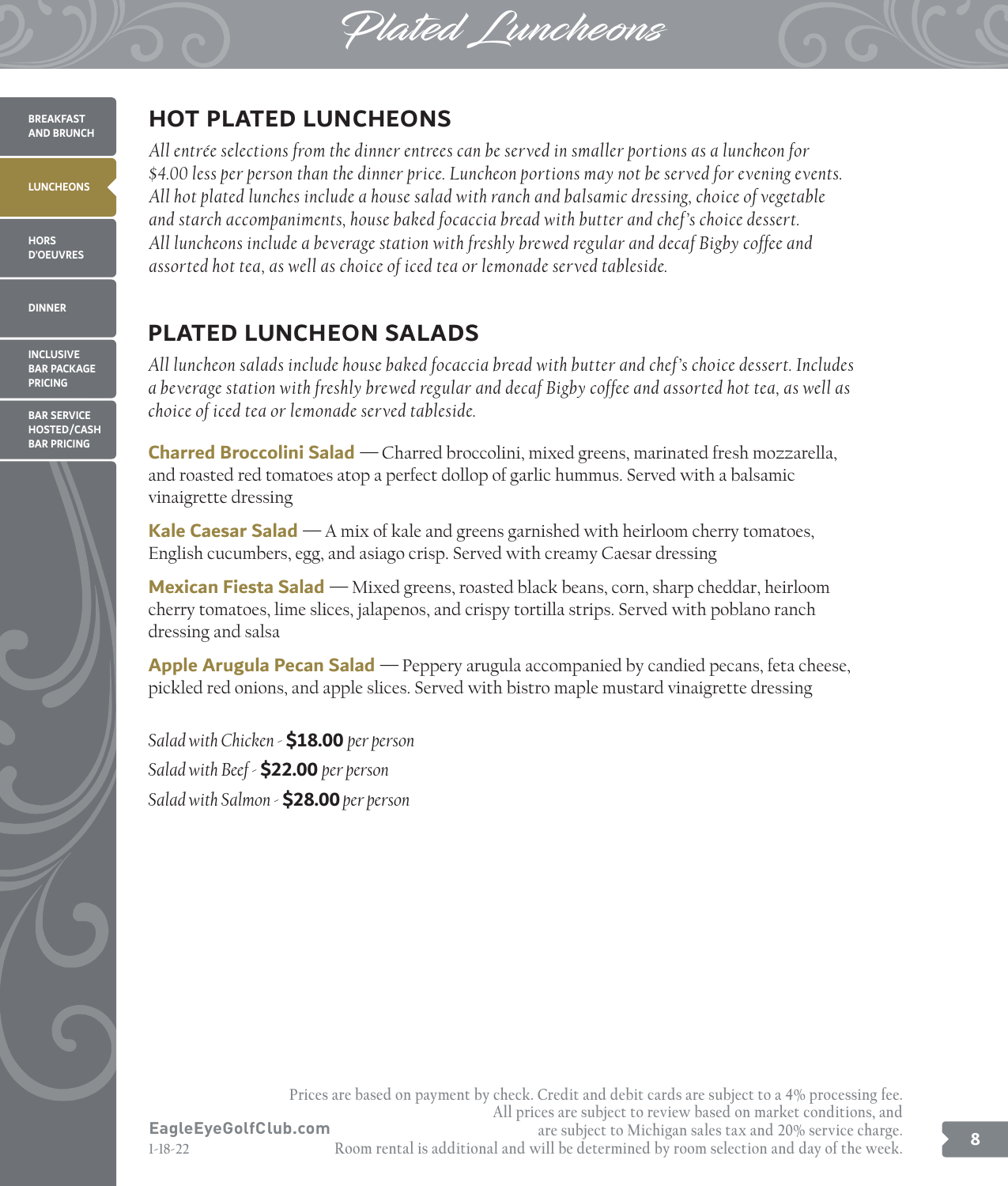Plated Luncheons



## **HOT PLATED LUNCHEONS**

*All entrée selections from the dinner entrees can be served in smaller portions as a luncheon for \$4.00 less per person than the dinner price. Luncheon portions may not be served for evening events. All hot plated lunches include a house salad with ranch and balsamic dressing, choice of vegetable and starch accompaniments, house baked focaccia bread with butter and chef 's choice dessert. All luncheons include a beverage station with freshly brewed regular and decaf Bigby coffee and assorted hot tea, as well as choice of iced tea or lemonade served tableside.*

## **PLATED LUNCHEON SALADS**

*All luncheon salads include house baked focaccia bread with butter and chef 's choice dessert. Includes a beverage station with freshly brewed regular and decaf Bigby coffee and assorted hot tea, as well as choice of iced tea or lemonade served tableside.*

**Charred Broccolini Salad** *—*Charred broccolini, mixed greens, marinated fresh mozzarella, and roasted red tomatoes atop a perfect dollop of garlic hummus. Served with a balsamic vinaigrette dressing

**Kale Caesar Salad** *—*A mix of kale and greens garnished with heirloom cherry tomatoes, English cucumbers, egg, and asiago crisp. Served with creamy Caesar dressing

**Mexican Fiesta Salad** *—*Mixed greens, roasted black beans, corn, sharp cheddar, heirloom cherry tomatoes, lime slices, jalapenos, and crispy tortilla strips. Served with poblano ranch dressing and salsa

**Apple Arugula Pecan Salad** *—*Peppery arugula accompanied by candied pecans, feta cheese, pickled red onions, and apple slices. Served with bistro maple mustard vinaigrette dressing

*Salad with Chicken -* **\$18.00** *per person Salad with Beef -* **\$22.00** *per person Salad with Salmon -* **\$28.00** *per person*

**EagleEyeGolfClub.com Prices are based on payment by check. Credit and debit cards are subject to a 4% processing fee. All prices are subject to review based on market conditions, and are subject to Michigan sales tax and 20% service charge. Room rental is additional and will be determined by room selection and day of the week. 8**

**1-18-22**

**BREAKFAST AND BRUNCH**

**LUNCHEONS**

**HORS D'OEUVRES**

**DINNER**

**INCLUSIVE BAR PACKAGE PRICING**

**BAR SERVICE HOSTED/CASH BAR PRICING**